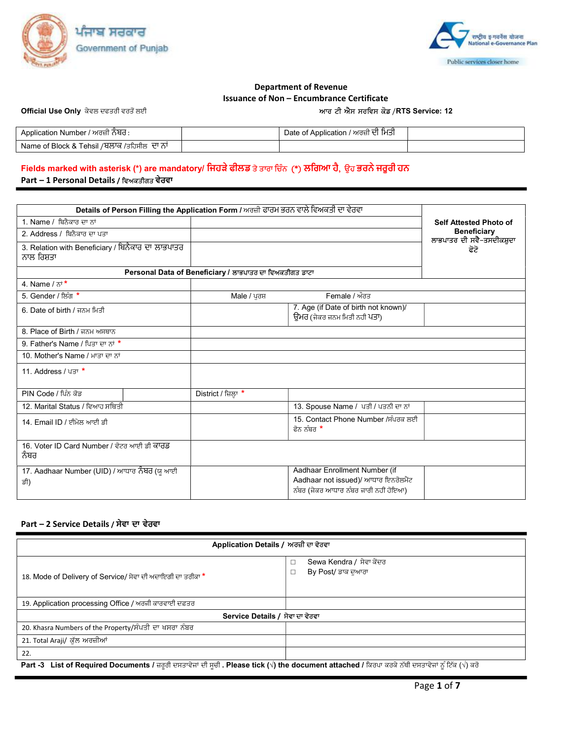



### Department of Revenue Issuance of Non – Encumbrance Certificate

Official Use Only ਕੇਵਲ ਦਫਤਰੀ ਵਰਤੋਂ ਲਈ ਵਿੱਚ ਸ਼ਾਹਿਬ ਦੇ ਲਾਇ ਹਨ ਅਤੇ ਅਮਾਰ ਕੀ ਐਸ ਸਰਵਿਸ ਕੋਡ /RTS Service: 12

| Application Number / ਅਰਜ਼ੀ ਨੋਬੋਰੋ :                       | Date of Application / ਅਰਜ਼ੀ ਦੀ ਮਿਤੀ |  |
|-----------------------------------------------------------|-------------------------------------|--|
| Name of Block & Tehsil <i>/</i> ਬਲਾਕ /ਤਹਿਸੀਲ  ∖<br>ਜਾ ਨਾਂ |                                     |  |

## Fields marked with asterisk (\*) are mandatory/ ਜਿਹੜੇ ਫੀਲਡ ਤੇ ਤਾਰਾ ਚਿੰਨ (\*) ਲਗਿਆ ਹੈ, ਉਹ ਭਰਨੇ ਜਰੂਰੀ ਹਨ Part – 1 Personal Details / ਿਵਅਕਤੀਗਤ ਵੇਰਵਾ

| Details of Person Filling the Application Form / ਅਰਜ਼ੀ ਫਾਰਮ ਭਰਨ ਵਾਲੇ ਵਿਅਕਤੀ ਦਾ ਵੇਰਵਾ |                                                         |                                                                                                              |                                                 |
|--------------------------------------------------------------------------------------|---------------------------------------------------------|--------------------------------------------------------------------------------------------------------------|-------------------------------------------------|
| 1. Name / ਬਿਨੈਕਾਰ ਦਾ ਨਾਂ                                                             |                                                         |                                                                                                              | <b>Self Attested Photo of</b>                   |
| 2. Address / ਬਿਨੈਕਾਰ ਦਾ ਪਤਾ                                                          |                                                         |                                                                                                              | <b>Beneficiary</b><br>ਲਾਭਪਾਤਰ ਦੀ ਸਵੈ-ਤਸਦੀਕਸ਼ੁਦਾ |
| 3. Relation with Beneficiary / ਬਿਨੈਕਾਰ ਦਾ ਲਾਭਪਾਤਰ<br>ਨਾਲ ਰਿਸ਼ਤਾ                      |                                                         |                                                                                                              | ਫੋਟੋ                                            |
|                                                                                      | Personal Data of Beneficiary / ਲਾਭਪਾਤਰ ਦਾ ਵਿਅਕਤੀਗਤ ਡਾਟਾ |                                                                                                              |                                                 |
| 4. Name $7\pi$ <sup>*</sup>                                                          |                                                         |                                                                                                              |                                                 |
| 5. Gender / ਲਿੰਗ *                                                                   | Male / ਪਰਸ਼                                             | Female / ਔਰਤ                                                                                                 |                                                 |
| 6. Date of birth / ਜਨਮ ਮਿਤੀ                                                          |                                                         | 7. Age (if Date of birth not known)/<br>ਉਮਰ (ਜੇਕਰ ਜਨਮ ਮਿਤੀ ਨਹੀ ਪਤਾ)                                          |                                                 |
| 8. Place of Birth / ਜਨਮ ਅਸਥਾਨ                                                        |                                                         |                                                                                                              |                                                 |
| 9. Father's Name / ਪਿਤਾ ਦਾ ਨਾਂ *                                                     |                                                         |                                                                                                              |                                                 |
| 10. Mother's Name / ਮਾਤਾ ਦਾ ਨਾਂ                                                      |                                                         |                                                                                                              |                                                 |
| 11. Address / ਪਤਾ $*$                                                                |                                                         |                                                                                                              |                                                 |
| PIN Code / ਪਿੰਨ ਕੋਡ                                                                  | District / ਜ਼ਿਲ੍ਹਾ *                                    |                                                                                                              |                                                 |
| 12. Marital Status / ਵਿਆਹ ਸਥਿਤੀ                                                      |                                                         | 13. Spouse Name / ਪਤੀ / ਪਤਨੀ ਦਾ ਨਾਂ                                                                          |                                                 |
| 14. Email ID / ਈਮੇਲ ਆਈ ਡੀ                                                            |                                                         | 15. Contact Phone Number /ਸੰਪਰਕ ਲਈ<br>ਫੋਨ ਨੰਬਰ *                                                             |                                                 |
| 16. Voter ID Card Number / ਵੋਟਰ ਆਈ ਡੀ ਕਾਰਡ<br>ਨੰਬਰ                                   |                                                         |                                                                                                              |                                                 |
| 17. Aadhaar Number (UID) / ਆਧਾਰ ਨੰਬਰ (ਯੂ ਆਈ<br>ਡੀ)                                   |                                                         | Aadhaar Enrollment Number (if<br>Aadhaar not issued)/ ਆਧਾਰ ਇਨਰੋਲਮੈਂਟ<br>ਨੰਬਰ (ਜੇਕਰ ਆਧਾਰ ਨੰਬਰ ਜਾਰੀ ਨਹੀਂ ਹੋਇਆ) |                                                 |

### Part – 2 Service Details / ਸੇਵਾ ਦਾ ਵੇਰਵਾ

| Application Details / ਅਰਜ਼ੀ ਦਾ ਵੇਰਵਾ                                                                                                               |                                                     |  |  |  |  |  |
|----------------------------------------------------------------------------------------------------------------------------------------------------|-----------------------------------------------------|--|--|--|--|--|
| 18. Mode of Delivery of Service/ ਸੇਵਾ ਦੀ ਅਦਾਇਗੀ ਦਾ ਤਰੀਕਾ *                                                                                         | Sewa Kendra / ਸੇਵਾ ਕੇਂਦਰ<br>□<br>By Post/ ਡਾਕ ਦੁਆਰਾ |  |  |  |  |  |
| 19. Application processing Office / ਅਰਜੀ ਕਾਰਵਾਈ ਦਫ਼ਤਰ                                                                                              |                                                     |  |  |  |  |  |
| Service Details / ਸੇਵਾ ਦਾ ਵੇਰਵਾ                                                                                                                    |                                                     |  |  |  |  |  |
| 20. Khasra Numbers of the Property/ਸੰਪਤੀ ਦਾ ਖਸਰਾ ਨੰਬਰ                                                                                              |                                                     |  |  |  |  |  |
| 21. Total Araji/ ਕੁੱਲ ਅਰਜ਼ੀਆਂ                                                                                                                      |                                                     |  |  |  |  |  |
| 22.                                                                                                                                                |                                                     |  |  |  |  |  |
| Part -3 List of Required Documents / ਜ਼ਰੂਰੀ ਦਸਤਾਵੇਜਾਂ ਦੀ ਸੂਚੀ . Please tick (√) the document attached / ਕਿਰਪਾ ਕਰਕੇ ਨੱਥੀ ਦਸਤਾਵੇਜਾਂ ਨੂੰ ਟਿੱਕ (√) ਕਰੋ |                                                     |  |  |  |  |  |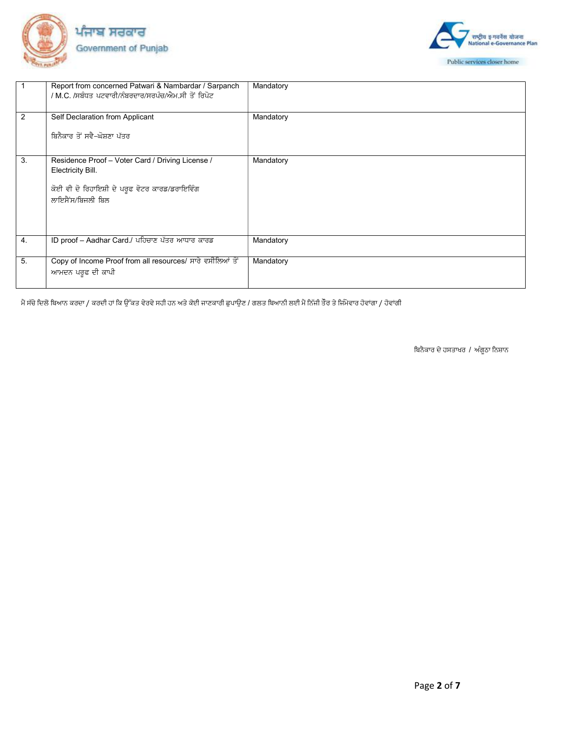



|    | Report from concerned Patwari & Nambardar / Sarpanch<br>/ M.C. /ਸਬੰਧਤ ਪਟਵਾਰੀ/ਨੰਬਰਦਾਰ/ਸਰਪੰਚ/ਐਮ.ਸੀ ਤੋਂ ਰਿਪੋਟ                                  | Mandatory |
|----|---------------------------------------------------------------------------------------------------------------------------------------------|-----------|
| 2  | Self Declaration from Applicant<br>ਬਿਨੈਕਾਰ ਤੋਂ ਸਵੈ-ਘੋਸ਼ਣਾ ਪੱਤਰ                                                                              | Mandatory |
| 3. | Residence Proof - Voter Card / Driving License /<br>Electricity Bill.<br>ਕੋਈ ਵੀ ਦੋ ਰਿਹਾਇਸ਼ੀ ਦੇ ਪਰੁਫ ਵੋਟਰ ਕਾਰਡ/ਡਰਾਇਵਿੰਗ<br>ਲਾਇਸੈਂਸ/ਬਿਜਲੀ ਬਿਲ | Mandatory |
| 4. | ID proof - Aadhar Card./ ਪਹਿਚਾਣ ਪੱਤਰ ਆਧਾਰ ਕਾਰਡ                                                                                              | Mandatory |
| 5. | Copy of Income Proof from all resources/ ਸਾਰੇ ਵਸੀਲਿਆਂ ਤੋਂ<br>ਆਮਦਨ ਪਰੁਫ ਦੀ ਕਾਪੀ                                                              | Mandatory |

ਸੇਂ ਸੱਚੇ ਦਿਲੋਂ ਬਿਆਨ ਕਰਦਾ / ਕਰਦੀ ਹਾਂ ਕਿ ਉੱਕਤ ਵੇਰਵੇ ਸਹੀ ਹਨ ਅਤੇ ਕੋਈ ਜਾਣਕਾਰੀ ਛੁਪਾਉਣ / ਗਲਤ ਬਿਆਨੀ ਲਈ ਮੈਂ ਨਿੱਜੀ ਤੌਰ ਤੇ ਜਿੰਮੇਵਾਰ ਹੋਵਾਂਗਾ / ਹੋਵਾਂਗੀ

ਬਿਨੈਕਾਰ ਦੇ ਹਸਤਾਖਰ / ਅੰਗੂਠਾ ਨਿਸ਼ਾਨ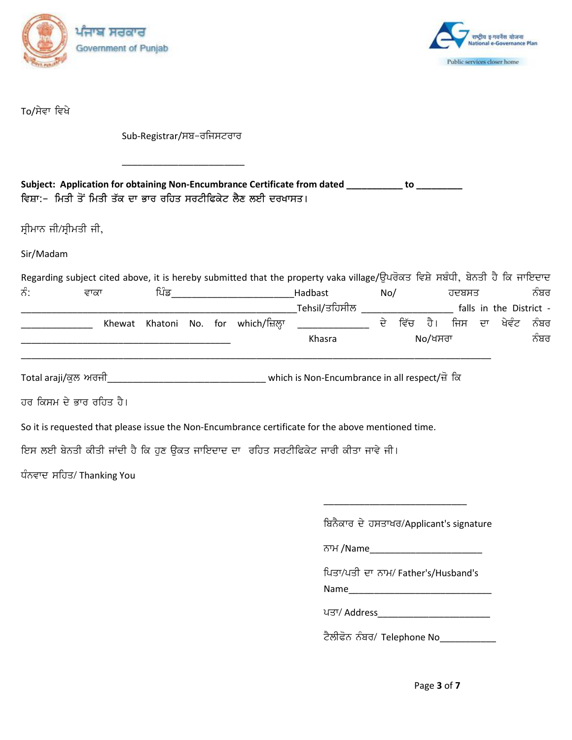



To/ਸੇਵਾ ਵਿਖੇ

Sub-Registrar/ਸਬ-ਰਜਿਸਟਰਾਰ

\_\_\_\_\_\_\_\_\_\_\_\_\_\_\_\_\_\_\_\_\_\_\_\_

| Subject: Application for obtaining Non-Encumbrance Certificate from dated |  |
|---------------------------------------------------------------------------|--|
| ਵਿਸ਼ਾ:-  ਮਿਤੀ ਤੋਂ ਮਿਤੀ ਤੱਕ ਦਾ ਭਾਰ ਰਹਿਤ ਸਰਟੀਫਿਕੇਟ ਲੈਣ ਲਈ ਦਰਖਾਸਤ।           |  |

ਸ੍ਰੀਮਾਨ ਜੀ/ਸ੍ਰੀਮਤੀ ਜੀ,

Sir/Madam

|                      |        |      |  |                             | Regarding subject cited above, it is hereby submitted that the property vaka village/ਉਪਰੋਕਤ ਵਿਸ਼ੇ ਸਬੰਧੀ, ਬੇਨਤੀ ਹੈ ਕਿ ਜਾਇਦਾਦ |     |      |            |       |                         |      |
|----------------------|--------|------|--|-----------------------------|-----------------------------------------------------------------------------------------------------------------------------|-----|------|------------|-------|-------------------------|------|
| ਨੰ:                  | ਵਾਕਾ   | ਪਿੰਡ |  |                             | Hadbast                                                                                                                     | No/ |      |            | ਹਦਬਸਤ |                         | ਨੰਬਰ |
|                      |        |      |  |                             | Tehsil/ਤਹਿਸੀਲ                                                                                                               |     |      |            |       | falls in the District - |      |
|                      | Khewat |      |  | Khatoni No. for which/ਜ਼ਿਲਾ |                                                                                                                             | ਦੇ  | ਵਿੱਚ | ਹੈ।        |       | ਜਿਸ ਦਾ ਖੇਵੰਟ            | ਨੰਬਰ |
|                      |        |      |  |                             | Khasra                                                                                                                      |     |      | $No/$ ਖਸਰਾ |       |                         | ਨੰਬਰ |
| Total araji/ਕੁਲ ਅਰਜੀ |        |      |  |                             | which is Non-Encumbrance in all respect/ से वि                                                                              |     |      |            |       |                         |      |
| .                    |        |      |  |                             |                                                                                                                             |     |      |            |       |                         |      |

ਹਰ ਕਿਸਮ ਦੇ ਭਾਰ ਰਹਿਤ ਹੈ।

So it is requested that please issue the Non-Encumbrance certificate for the above mentioned time.

 $\overline{\phantom{a}}$  , and the contract of the contract of the contract of the contract of the contract of the contract of the contract of the contract of the contract of the contract of the contract of the contract of the contrac

ਇਸ ਲਈ ਬੇਨਤੀ ਕੀਤੀ ਜਾਂਦੀ ਹੈ ਕਿ ਹੁਣ ਉਕਤ ਜਾਇਦਾਦ ਦਾ ਰਹਿਤ ਸਰਟੀਫਿਕੇਟ ਜਾਰੀ ਕੀਤਾ ਜਾਵੇ ਜੀ।

ਧੰਨਵਾਦ ਸਹਿਤ/ Thanking You

ਬਿਨੈਕਾਰ ਦੇ ਹਸਤਾਖਰ/Applicant's signature

Bkw /Name\_\_\_\_\_\_\_\_\_\_\_\_\_\_\_\_\_\_\_\_\_\_

ਪਿਤਾ/ਪਤੀ ਦਾ ਨਾਮ/ Father's/Husband's

Name\_\_\_\_\_\_\_\_\_\_\_\_\_\_\_\_\_\_\_\_\_\_\_\_\_\_\_\_

gsk\$ Address\_\_\_\_\_\_\_\_\_\_\_\_\_\_\_\_\_\_\_\_\_\_

ਟੈਲੀਫੋਨ ਨੰਬਰ/ Telephone No\_\_\_\_\_\_\_\_\_\_\_

Page 3 of 7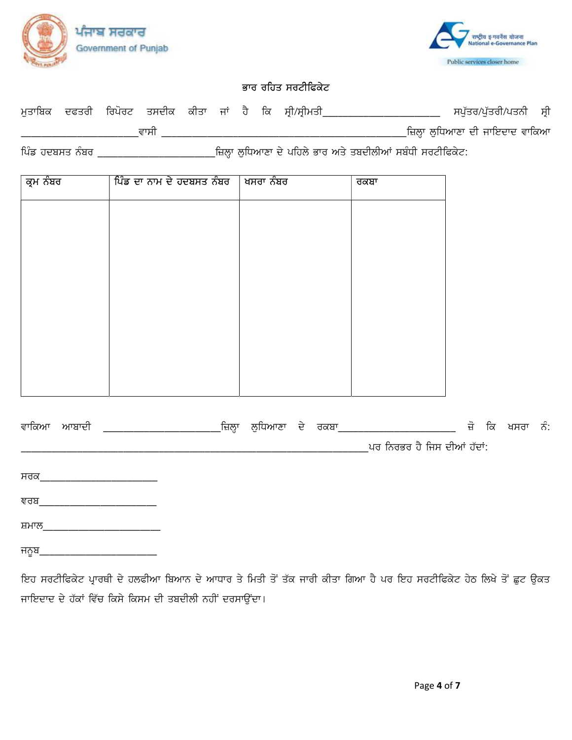



# ਭਾਰ ਰਹਿਤ ਸਰਟੀਫਿਕੇਟ

|  |      |  |  | ਮਤਾਬਿਕ ਦਫਤਰੀ ਰਿਪੋਰਟ ਤਸਦੀਕ ਕੀਤਾ ਜਾਂ ਹੈ ਕਿ ਸੀ/ਸੀਮਤੀ |                                  | ਸਪੁੱਤਰ/ਪੁੱਤਰੀ/ਪਤਨੀ ਸ੍ਰੀ |  |
|--|------|--|--|---------------------------------------------------|----------------------------------|-------------------------|--|
|  | ਵਾਸੀ |  |  |                                                   | _ਜ਼ਿਲ੍ਹਾ ਲੁਧਿਆਣਾ ਦੀ ਜਾਇਦਾਦ ਵਾਕਿਆ |                         |  |

| ਕ੍ਰਮ ਨੰਬਰ | ਪਿੰਡ ਦਾ ਨਾਮ ਦੇ ਹਦਬਸਤ ਨੰਬਰ | ∣ ਖਸਰਾ ਨੰਬਰ | ਰਕਬਾ |
|-----------|---------------------------|-------------|------|
|           |                           |             |      |
|           |                           |             |      |
|           |                           |             |      |
|           |                           |             |      |
|           |                           |             |      |
|           |                           |             |      |
|           |                           |             |      |
|           |                           |             |      |
|           |                           |             |      |

|       | ਵਾਕਿਆ ਆਬਾਦੀ | _ਜ਼ਿਲ੍ਹਾ | ਲੁਧਿਆਣਾ ਦੇ ਰਕਬਾ_ |  |                             | ਜ਼ੋ | ਕਿ | ਖਸਰਾ | ਨੰ: |
|-------|-------------|----------|------------------|--|-----------------------------|-----|----|------|-----|
|       |             |          |                  |  | ਪਰ ਨਿਰਭਰ ਹੈ ਜਿਸ ਦੀਆਂ ਹੱਦਾਂ: |     |    |      |     |
| ਸਰਕ   |             |          |                  |  |                             |     |    |      |     |
| ਞਰਬ   |             |          |                  |  |                             |     |    |      |     |
| ਸ਼ਮਾਲ |             |          |                  |  |                             |     |    |      |     |

ਜਨੁਬ\_\_

ਇਹ ਸਰਟੀਫਿਕੇਟ ਪ੍ਰਾਰਥੀ ਦੇ ਹਲਫੀਆ ਬਿਆਨ ਦੇ ਆਧਾਰ ਤੇ ਮਿਤੀ ਤੋਂ ਤੱਕ ਜਾਰੀ ਕੀਤਾ ਗਿਆ ਹੈ ਪਰ ਇਹ ਸਰਟੀਫਿਕੇਟ ਹੇਠ ਲਿਖੇ ਤੋਂ ਛੁਟ ਉਕਤ ਜਾਇਦਾਦ ਦੇ ਹੱਕਾਂ ਵਿੱਚ ਕਿਸੇ ਕਿਸਮ ਦੀ ਤਬਦੀਲੀ ਨਹੀਂ ਦਰਸਾਉਂਦਾ।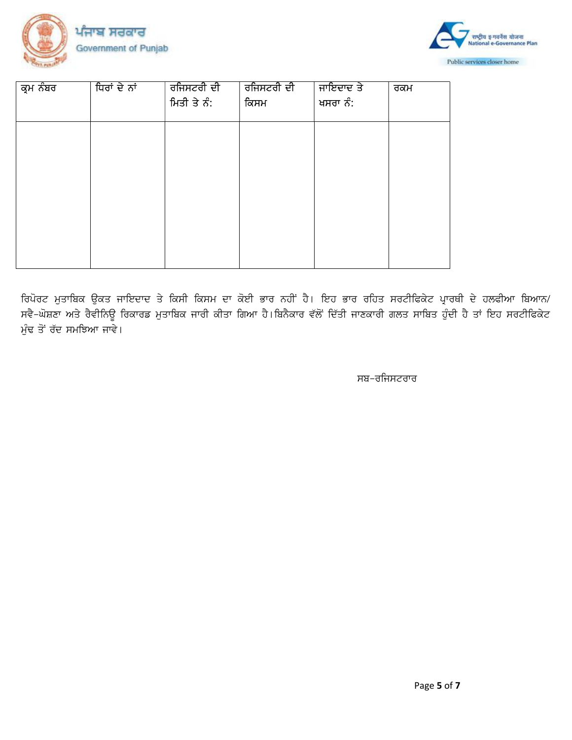



| ਕ੍ਰਮ ਨੰਬਰ | ਧਿਰਾਂ ਦੇ ਨਾਂ | ਰਜਿਸਟਰੀ ਦੀ<br>ਮਿਤੀ ਤੇ ਨੰ: | ਰਜਿਸਟਰੀ ਦੀ<br>ਕਿਸਮ | ਜਾਇਦਾਦ ਤੇ<br>ਖਸਰਾ ਨੰ: | ਰਕਮ |
|-----------|--------------|---------------------------|--------------------|-----------------------|-----|
|           |              |                           |                    |                       |     |
|           |              |                           |                    |                       |     |
|           |              |                           |                    |                       |     |
|           |              |                           |                    |                       |     |

ਰਿਪੋਰਟ ਮੁਤਾਬਿਕ ਉਕਤ ਜਾਇਦਾਦ ਤੇ ਕਿਸੀ ਕਿਸਮ ਦਾ ਕੋਈ ਭਾਰ ਨਹੀਂ ਹੈ। ਇਹ ਭਾਰ ਰਹਿਤ ਸਰਟੀਫਿਕੇਟ ਪ੍ਰਾਰਥੀ ਦੇ ਹਲਫੀਆ ਬਿਆਨ/ ਸਵੈ-ਘੋਸ਼ਣਾ ਅਤੇ ਰੈਵੀਨਿਊ ਰਿਕਾਰਡ ਮੁਤਾਬਿਕ ਜਾਰੀ ਕੀਤਾ ਗਿਆ ਹੈ।ਬਿਨੈਕਾਰ ਵੱਲੋਂ ਦਿੱਤੀ ਜਾਣਕਾਰੀ ਗਲਤ ਸਾਬਿਤ ਹੁੰਦੀ ਹੈ ਤਾਂ ਇਹ ਸਰਟੀਫਿਕੇਟ ਮੁੰਢ ਤੋਂ ਰੱਦ ਸਮਝਿਆ ਜਾਵੇ।

ਸਬ–ਰਜਿਸਟਰਾਰ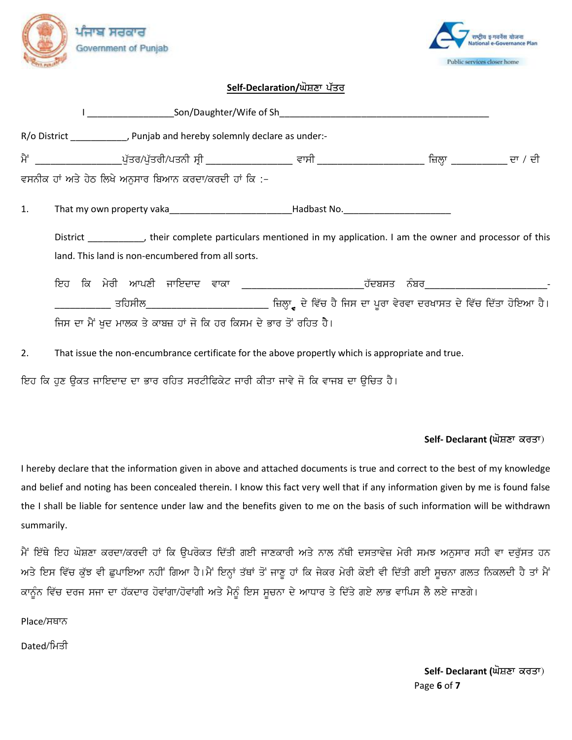



### Self-Declaration/ਘੋਸ਼ਣਾ ਪੱਤਰ

|                | R/o District ______________, Punjab and hereby solemnly declare as under:-                                                                                              |                 |
|----------------|-------------------------------------------------------------------------------------------------------------------------------------------------------------------------|-----------------|
|                |                                                                                                                                                                         | ਜ਼ਿਲ੍ਹਾ ਦਾ / ਦੀ |
|                | ਵਸਨੀਕ ਹਾਂ ਅਤੇ ਹੇਠ ਲਿਖੇ ਅਨਸਾਰ ਬਿਆਨ ਕਰਦਾ/ਕਰਦੀ ਹਾਂ ਕਿ :-                                                                                                                   |                 |
| $\mathbf{1}$ . | That my own property vaka________________________________Hadbast No.________________________________                                                                    |                 |
|                | District ___________, their complete particulars mentioned in my application. I am the owner and processor of this<br>land. This land is non-encumbered from all sorts. |                 |
|                |                                                                                                                                                                         |                 |
|                | _________ ਤਹਿਸੀਲ___________________________ ਜ਼ਿਲ੍ਹਾ੍ਰ ਦੇ ਵਿੱਚ ਹੈ ਜਿਸ ਦਾ ਪੂਰਾ ਵੇਰਵਾ ਦਰਖਾਸਤ ਦੇ ਵਿੱਚ ਦਿੱਤਾ ਹੋਇਆ ਹੈ।                                                        |                 |
|                | ਜਿਸ ਦਾ ਮੈਂ ਖਦ ਮਾਲਕ ਤੇ ਕਾਬਜ਼ ਹਾਂ ਜੋ ਕਿ ਹਰ ਕਿਸਮ ਦੇ ਭਾਰ ਤੋਂ ਰਹਿਤ ਹੈ।                                                                                                       |                 |

That issue the non-encumbrance certificate for the above propertly which is appropriate and true.  $2.$ 

ਇਹ ਕਿ ਹੁਣ ਉਕਤ ਜਾਇਦਾਦ ਦਾ ਭਾਰ ਰਹਿਤ ਸਰਟੀਫਿਕੇਟ ਜਾਰੀ ਕੀਤਾ ਜਾਵੇ ਜੋ ਕਿ ਵਾਜਬ ਦਾ ਉਚਿਤ ਹੈ।

## Self- Declarant (ਘੋਸ਼ਣਾ ਕਰਤਾ)

I hereby declare that the information given in above and attached documents is true and correct to the best of my knowledge and belief and noting has been concealed therein. I know this fact very well that if any information given by me is found false the I shall be liable for sentence under law and the benefits given to me on the basis of such information will be withdrawn summarily.

ਮੈਂ ਇੱਥੇ ਇਹ ਘੋਸ਼ਣਾ ਕਰਦਾ/ਕਰਦੀ ਹਾਂ ਕਿ ਉਪਰੋਕਤ ਦਿੱਤੀ ਗਈ ਜਾਣਕਾਰੀ ਅਤੇ ਨਾਲ ਨੱਥੀ ਦਸਤਾਵੇਜ਼ ਮੇਰੀ ਸਮਝ ਅਨੁਸਾਰ ਸਹੀ ਵਾ ਦਰੁੱਸਤ ਹਨ ਅਤੇ ਇਸ ਵਿੱਚ ਕੁੱਝ ਵੀ ਛੁਪਾਇਆ ਨਹੀਂ ਗਿਆ ਹੈ।ਮੈਂ ਇਨ੍ਹਾਂ ਤੱਥਾਂ ਤੋਂ ਜਾਣੂ ਹਾਂ ਕਿ ਜੇਕਰ ਮੇਰੀ ਕੋਈ ਵੀ ਦਿੱਤੀ ਗਈ ਸੂਚਨਾ ਗਲਤ ਨਿਕਲਦੀ ਹੈ ਤਾਂ ਮੈਂ ਕਾਨੂੰਨ ਵਿੱਚ ਦਰਜ ਸਜਾ ਦਾ ਹੱਕਦਾਰ ਹੋਵਾਂਗਾ/ਹੋਵਾਂਗੀ ਅਤੇ ਮੈਨੂੰ ਇਸ ਸੂਚਨਾ ਦੇ ਆਧਾਰ ਤੇ ਦਿੱਤੇ ਗਏ ਲਾਭ ਵਾਪਿਸ ਲੈ ਲਏ ਜਾਣਗੇ।

Place/ਸਥਾਨ

Dated/ਮਿਤੀ